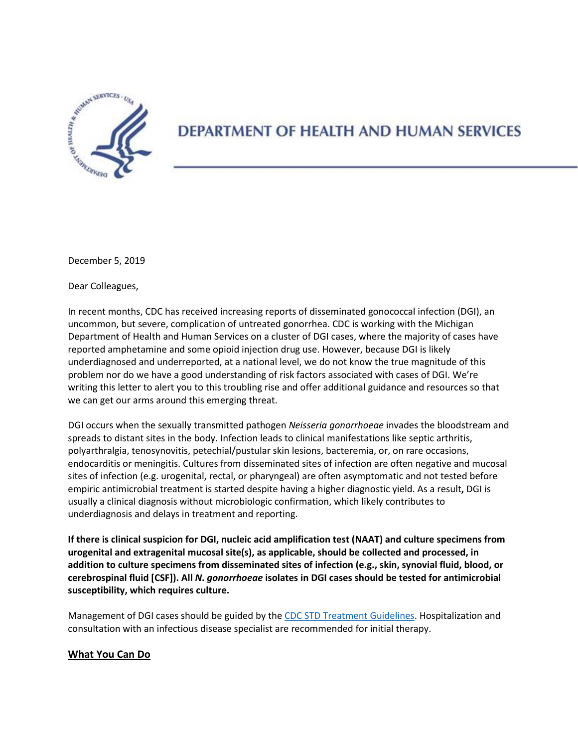

# **DEPARTMENT OF HEALTH AND HUMAN SERVICES**

December 5, 2019

Dear Colleagues,

In recent months, CDC has received increasing reports of disseminated gonococcal infection (DGI), an uncommon, but severe, complication of untreated gonorrhea. CDC is working with the Michigan Department of Health and Human Services on a cluster of DGI cases, where the majority of cases have reported amphetamine and some opioid injection drug use. However, because DGI is likely underdiagnosed and underreported, at a national level, we do not know the true magnitude of this problem nor do we have a good understanding of risk factors associated with cases of DGI. We're writing this letter to alert you to this troubling rise and offer additional guidance and resources so that we can get our arms around this emerging threat.

DGI occurs when the sexually transmitted pathogen *Neisseria gonorrhoeae* invades the bloodstream and spreads to distant sites in the body. Infection leads to clinical manifestations like septic arthritis, polyarthralgia, tenosynovitis, petechial/pustular skin lesions, bacteremia, or, on rare occasions, endocarditis or meningitis. Cultures from disseminated sites of infection are often negative and mucosal sites of infection (e.g. urogenital, rectal, or pharyngeal) are often asymptomatic and not tested before empiric antimicrobial treatment is started despite having a higher diagnostic yield. As a result**,** DGI is usually a clinical diagnosis without microbiologic confirmation, which likely contributes to underdiagnosis and delays in treatment and reporting.

**If there is clinical suspicion for DGI, nucleic acid amplification test (NAAT) and culture specimens from urogenital and extragenital mucosal site(s), as applicable, should be collected and processed, in addition to culture specimens from disseminated sites of infection (e.g., skin, synovial fluid, blood, or cerebrospinal fluid [CSF]). All** *N***.** *gonorrhoeae* **isolates in DGI cases should be tested for antimicrobial susceptibility, which requires culture.**

Management of DGI cases should be guided by th[e CDC STD Treatment Guidelines.](https://urldefense.proofpoint.com/v2/url?u=https-3A__www.cdc.gov_std_tg2015_gonorrhea.htm&d=DwMFAg&c=Lr0a7ed3egkbwePCNW4ROg&r=ZZzX-m2yU8m1_6VaVKcXZrxTBBF7Xjax4NXgaulNrTc&m=FVU4AtGc9bzXbHF6Ji8maNAWKdruC27Tk4PY-wQj7z4&s=AjuaaTr1V7-aLRQq5lpKCWaEbXGqdIOVWXNpbHP7syY&e=) Hospitalization and consultation with an infectious disease specialist are recommended for initial therapy.

# **What You Can Do**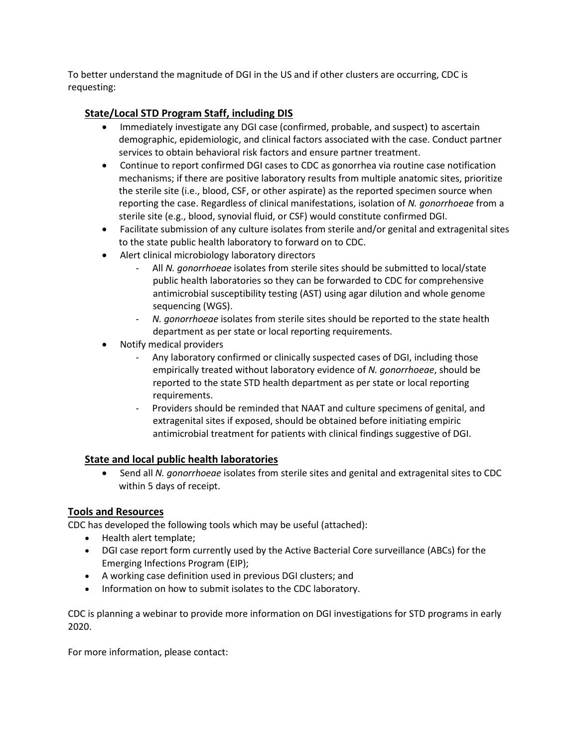To better understand the magnitude of DGI in the US and if other clusters are occurring, CDC is requesting:

# **State/Local STD Program Staff, including DIS**

- Immediately investigate any DGI case (confirmed, probable, and suspect) to ascertain demographic, epidemiologic, and clinical factors associated with the case. Conduct partner services to obtain behavioral risk factors and ensure partner treatment.
- Continue to report confirmed DGI cases to CDC as gonorrhea via routine case notification mechanisms; if there are positive laboratory results from multiple anatomic sites, prioritize the sterile site (i.e., blood, CSF, or other aspirate) as the reported specimen source when reporting the case. Regardless of clinical manifestations, isolation of *N. gonorrhoeae* from a sterile site (e.g., blood, synovial fluid, or CSF) would constitute confirmed DGI.
- Facilitate submission of any culture isolates from sterile and/or genital and extragenital sites to the state public health laboratory to forward on to CDC.
- Alert clinical microbiology laboratory directors
	- All *N. gonorrhoeae* isolates from sterile sites should be submitted to local/state public health laboratories so they can be forwarded to CDC for comprehensive antimicrobial susceptibility testing (AST) using agar dilution and whole genome sequencing (WGS).
	- *N. gonorrhoeae* isolates from sterile sites should be reported to the state health department as per state or local reporting requirements.
- Notify medical providers
	- Any laboratory confirmed or clinically suspected cases of DGI, including those empirically treated without laboratory evidence of *N. gonorrhoeae*, should be reported to the state STD health department as per state or local reporting requirements.
	- Providers should be reminded that NAAT and culture specimens of genital, and extragenital sites if exposed, should be obtained before initiating empiric antimicrobial treatment for patients with clinical findings suggestive of DGI.

# **State and local public health laboratories**

• Send all *N. gonorrhoeae* isolates from sterile sites and genital and extragenital sites to CDC within 5 days of receipt.

# **Tools and Resources**

CDC has developed the following tools which may be useful (attached):

- Health alert template;
- DGI case report form currently used by the Active Bacterial Core surveillance (ABCs) for the Emerging Infections Program (EIP);
- A working case definition used in previous DGI clusters; and
- Information on how to submit isolates to the CDC laboratory.

CDC is planning a webinar to provide more information on DGI investigations for STD programs in early 2020.

For more information, please contact: